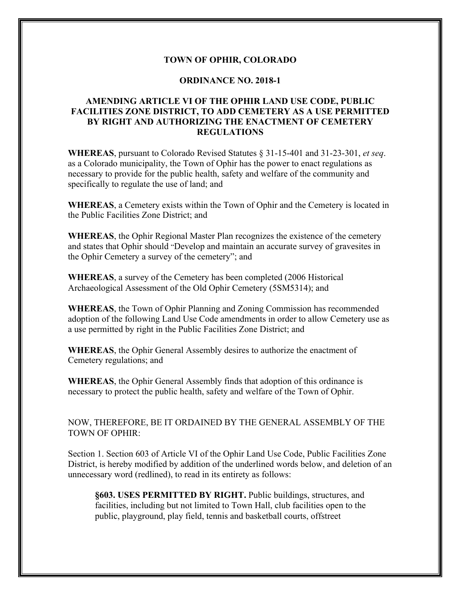### **TOWN OF OPHIR, COLORADO**

#### **ORDINANCE NO. 2018-1**

## **AMENDING ARTICLE VI OF THE OPHIR LAND USE CODE, PUBLIC FACILITIES ZONE DISTRICT, TO ADD CEMETERY AS A USE PERMITTED BY RIGHT AND AUTHORIZING THE ENACTMENT OF CEMETERY REGULATIONS**

**WHEREAS**, pursuant to Colorado Revised Statutes § 31-15-401 and 31-23-301, *et seq*. as a Colorado municipality, the Town of Ophir has the power to enact regulations as necessary to provide for the public health, safety and welfare of the community and specifically to regulate the use of land; and

**WHEREAS**, a Cemetery exists within the Town of Ophir and the Cemetery is located in the Public Facilities Zone District; and

**WHEREAS**, the Ophir Regional Master Plan recognizes the existence of the cemetery and states that Ophir should "Develop and maintain an accurate survey of gravesites in the Ophir Cemetery a survey of the cemetery"; and

**WHEREAS**, a survey of the Cemetery has been completed (2006 Historical Archaeological Assessment of the Old Ophir Cemetery (5SM5314); and

**WHEREAS**, the Town of Ophir Planning and Zoning Commission has recommended adoption of the following Land Use Code amendments in order to allow Cemetery use as a use permitted by right in the Public Facilities Zone District; and

**WHEREAS**, the Ophir General Assembly desires to authorize the enactment of Cemetery regulations; and

**WHEREAS**, the Ophir General Assembly finds that adoption of this ordinance is necessary to protect the public health, safety and welfare of the Town of Ophir.

NOW, THEREFORE, BE IT ORDAINED BY THE GENERAL ASSEMBLY OF THE TOWN OF OPHIR:

Section 1. Section 603 of Article VI of the Ophir Land Use Code, Public Facilities Zone District, is hereby modified by addition of the underlined words below, and deletion of an unnecessary word (redlined), to read in its entirety as follows:

**§603. USES PERMITTED BY RIGHT.** Public buildings, structures, and facilities, including but not limited to Town Hall, club facilities open to the public, playground, play field, tennis and basketball courts, offstreet